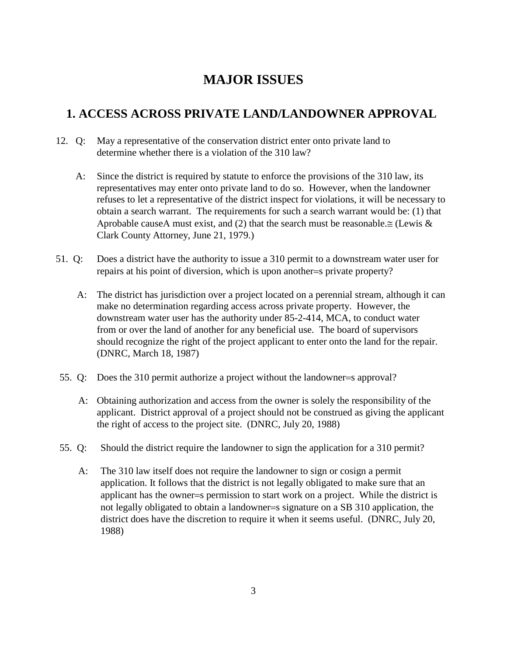# **MAJOR ISSUES**

# **1. ACCESS ACROSS PRIVATE LAND/LANDOWNER APPROVAL**

- 12. Q: May a representative of the conservation district enter onto private land to determine whether there is a violation of the 310 law?
	- A: Since the district is required by statute to enforce the provisions of the 310 law, its representatives may enter onto private land to do so. However, when the landowner refuses to let a representative of the district inspect for violations, it will be necessary to obtain a search warrant. The requirements for such a search warrant would be: (1) that Aprobable causeA must exist, and (2) that the search must be reasonable. $\cong$  (Lewis & Clark County Attorney, June 21, 1979.)
- 51. Q: Does a district have the authority to issue a 310 permit to a downstream water user for repairs at his point of diversion, which is upon another=s private property?
	- A: The district has jurisdiction over a project located on a perennial stream, although it can make no determination regarding access across private property. However, the downstream water user has the authority under 85-2-414, MCA, to conduct water from or over the land of another for any beneficial use. The board of supervisors should recognize the right of the project applicant to enter onto the land for the repair. (DNRC, March 18, 1987)
- 55. Q: Does the 310 permit authorize a project without the landowner=s approval?
	- A: Obtaining authorization and access from the owner is solely the responsibility of the applicant. District approval of a project should not be construed as giving the applicant the right of access to the project site. (DNRC, July 20, 1988)
- 55. Q: Should the district require the landowner to sign the application for a 310 permit?
	- A: The 310 law itself does not require the landowner to sign or cosign a permit application. It follows that the district is not legally obligated to make sure that an applicant has the owner=s permission to start work on a project. While the district is not legally obligated to obtain a landowner=s signature on a SB 310 application, the district does have the discretion to require it when it seems useful. (DNRC, July 20, 1988)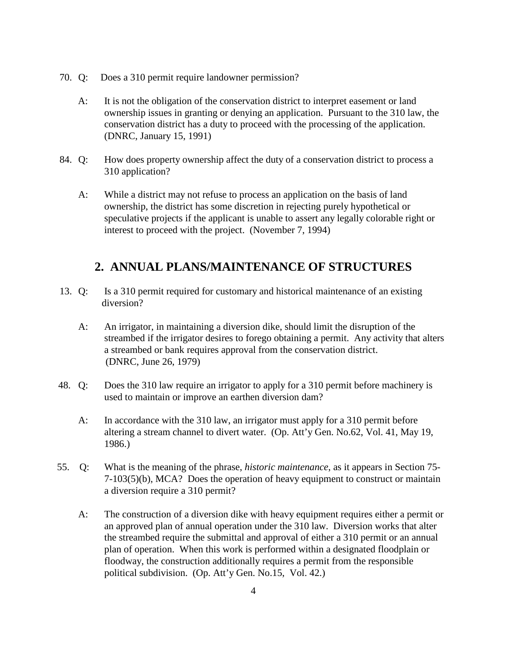- 70. Q: Does a 310 permit require landowner permission?
	- A: It is not the obligation of the conservation district to interpret easement or land ownership issues in granting or denying an application. Pursuant to the 310 law, the conservation district has a duty to proceed with the processing of the application. (DNRC, January 15, 1991)
- 84. Q: How does property ownership affect the duty of a conservation district to process a 310 application?
	- A: While a district may not refuse to process an application on the basis of land ownership, the district has some discretion in rejecting purely hypothetical or speculative projects if the applicant is unable to assert any legally colorable right or interest to proceed with the project. (November 7, 1994)

# **2. ANNUAL PLANS/MAINTENANCE OF STRUCTURES**

- 13. Q: Is a 310 permit required for customary and historical maintenance of an existing diversion?
	- A: An irrigator, in maintaining a diversion dike, should limit the disruption of the streambed if the irrigator desires to forego obtaining a permit. Any activity that alters a streambed or bank requires approval from the conservation district. (DNRC, June 26, 1979)
- 48. Q: Does the 310 law require an irrigator to apply for a 310 permit before machinery is used to maintain or improve an earthen diversion dam?
	- A: In accordance with the 310 law, an irrigator must apply for a 310 permit before altering a stream channel to divert water. (Op. Att'y Gen. No.62, Vol. 41, May 19, 1986.)
- 55. Q: What is the meaning of the phrase, *historic maintenance*, as it appears in Section 75- 7-103(5)(b), MCA? Does the operation of heavy equipment to construct or maintain a diversion require a 310 permit?
	- A: The construction of a diversion dike with heavy equipment requires either a permit or an approved plan of annual operation under the 310 law. Diversion works that alter the streambed require the submittal and approval of either a 310 permit or an annual plan of operation. When this work is performed within a designated floodplain or floodway, the construction additionally requires a permit from the responsible political subdivision. (Op. Att'y Gen. No.15, Vol. 42.)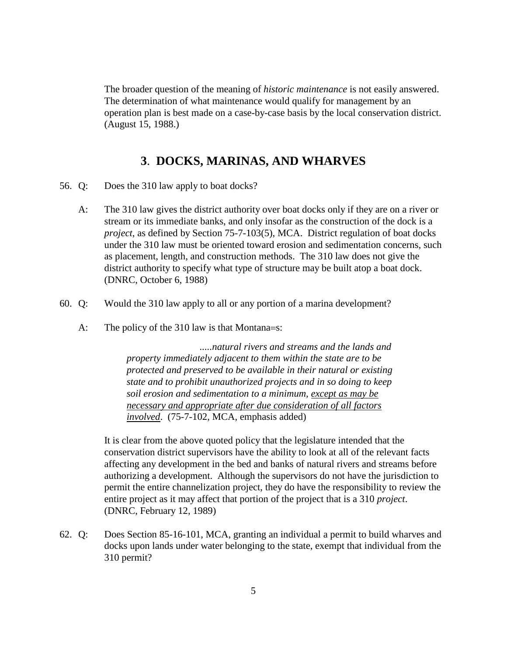The broader question of the meaning of *historic maintenance* is not easily answered. The determination of what maintenance would qualify for management by an operation plan is best made on a case-by-case basis by the local conservation district. (August 15, 1988.)

## **3**. **DOCKS, MARINAS, AND WHARVES**

- 56. Q: Does the 310 law apply to boat docks?
	- A: The 310 law gives the district authority over boat docks only if they are on a river or stream or its immediate banks, and only insofar as the construction of the dock is a *project*, as defined by Section 75-7-103(5), MCA. District regulation of boat docks under the 310 law must be oriented toward erosion and sedimentation concerns, such as placement, length, and construction methods. The 310 law does not give the district authority to specify what type of structure may be built atop a boat dock. (DNRC, October 6, 1988)
- 60. Q: Would the 310 law apply to all or any portion of a marina development?
	- A: The policy of the 310 law is that Montana=s:

 *.....natural rivers and streams and the lands and property immediately adjacent to them within the state are to be protected and preserved to be available in their natural or existing state and to prohibit unauthorized projects and in so doing to keep soil erosion and sedimentation to a minimum, except as may be necessary and appropriate after due consideration of all factors involved*. (75-7-102, MCA, emphasis added)

It is clear from the above quoted policy that the legislature intended that the conservation district supervisors have the ability to look at all of the relevant facts affecting any development in the bed and banks of natural rivers and streams before authorizing a development. Although the supervisors do not have the jurisdiction to permit the entire channelization project, they do have the responsibility to review the entire project as it may affect that portion of the project that is a 310 *project*. (DNRC, February 12, 1989)

62. Q: Does Section 85-16-101, MCA, granting an individual a permit to build wharves and docks upon lands under water belonging to the state, exempt that individual from the 310 permit?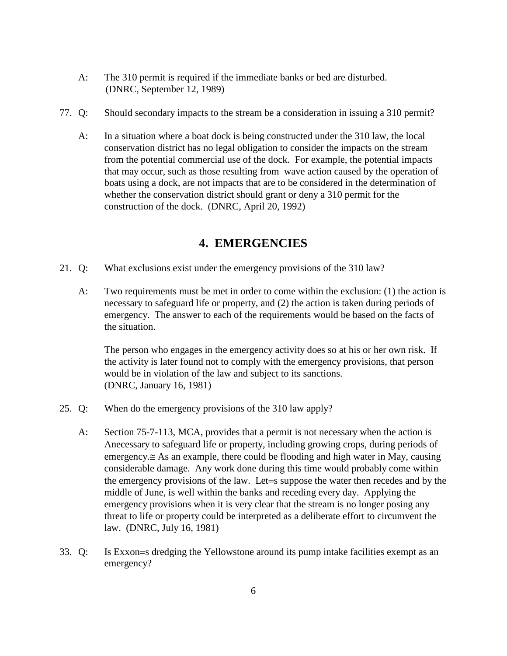- A: The 310 permit is required if the immediate banks or bed are disturbed. (DNRC, September 12, 1989)
- 77. Q: Should secondary impacts to the stream be a consideration in issuing a 310 permit?
	- A: In a situation where a boat dock is being constructed under the 310 law, the local conservation district has no legal obligation to consider the impacts on the stream from the potential commercial use of the dock. For example, the potential impacts that may occur, such as those resulting from wave action caused by the operation of boats using a dock, are not impacts that are to be considered in the determination of whether the conservation district should grant or deny a 310 permit for the construction of the dock. (DNRC, April 20, 1992)

## **4. EMERGENCIES**

- 21. Q: What exclusions exist under the emergency provisions of the 310 law?
	- A: Two requirements must be met in order to come within the exclusion: (1) the action is necessary to safeguard life or property, and (2) the action is taken during periods of emergency. The answer to each of the requirements would be based on the facts of the situation.

The person who engages in the emergency activity does so at his or her own risk. If the activity is later found not to comply with the emergency provisions, that person would be in violation of the law and subject to its sanctions. (DNRC, January 16, 1981)

- 25. Q: When do the emergency provisions of the 310 law apply?
	- A: Section 75-7-113, MCA, provides that a permit is not necessary when the action is Αnecessary to safeguard life or property, including growing crops, during periods of emergency.≅ As an example, there could be flooding and high water in May, causing considerable damage. Any work done during this time would probably come within the emergency provisions of the law. Let=s suppose the water then recedes and by the middle of June, is well within the banks and receding every day. Applying the emergency provisions when it is very clear that the stream is no longer posing any threat to life or property could be interpreted as a deliberate effort to circumvent the law. (DNRC, July 16, 1981)
- 33. Q: Is Exxon=s dredging the Yellowstone around its pump intake facilities exempt as an emergency?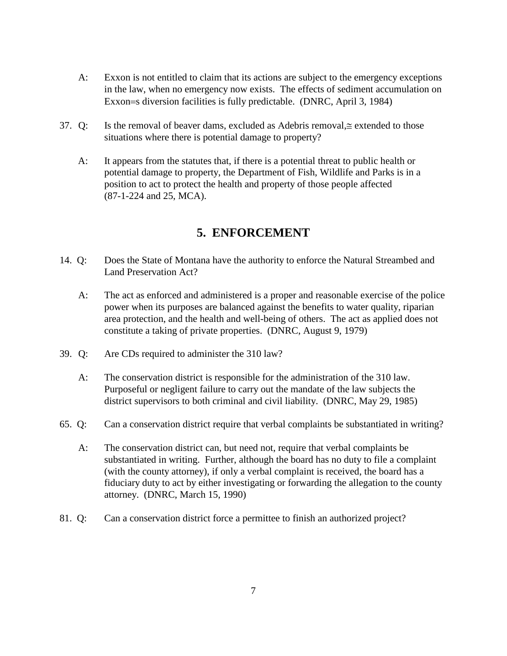- A: Exxon is not entitled to claim that its actions are subject to the emergency exceptions in the law, when no emergency now exists. The effects of sediment accumulation on Exxon=s diversion facilities is fully predictable. (DNRC, April 3, 1984)
- 37. Q: Is the removal of beaver dams, excluded as Adebris removal,≅ extended to those situations where there is potential damage to property?
	- A: It appears from the statutes that, if there is a potential threat to public health or potential damage to property, the Department of Fish, Wildlife and Parks is in a position to act to protect the health and property of those people affected (87-1-224 and 25, MCA).

# **5. ENFORCEMENT**

- 14. Q: Does the State of Montana have the authority to enforce the Natural Streambed and Land Preservation Act?
	- A: The act as enforced and administered is a proper and reasonable exercise of the police power when its purposes are balanced against the benefits to water quality, riparian area protection, and the health and well-being of others. The act as applied does not constitute a taking of private properties. (DNRC, August 9, 1979)
- 39. Q: Are CDs required to administer the 310 law?
	- A: The conservation district is responsible for the administration of the 310 law. Purposeful or negligent failure to carry out the mandate of the law subjects the district supervisors to both criminal and civil liability. (DNRC, May 29, 1985)
- 65. Q: Can a conservation district require that verbal complaints be substantiated in writing?
	- A: The conservation district can, but need not, require that verbal complaints be substantiated in writing. Further, although the board has no duty to file a complaint (with the county attorney), if only a verbal complaint is received, the board has a fiduciary duty to act by either investigating or forwarding the allegation to the county attorney. (DNRC, March 15, 1990)
- 81. Q: Can a conservation district force a permittee to finish an authorized project?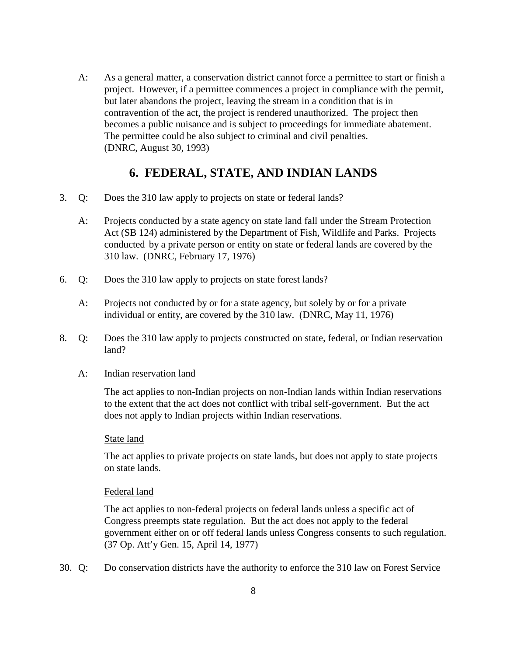A: As a general matter, a conservation district cannot force a permittee to start or finish a project. However, if a permittee commences a project in compliance with the permit, but later abandons the project, leaving the stream in a condition that is in contravention of the act, the project is rendered unauthorized. The project then becomes a public nuisance and is subject to proceedings for immediate abatement. The permittee could be also subject to criminal and civil penalties. (DNRC, August 30, 1993)

### **6. FEDERAL, STATE, AND INDIAN LANDS**

- 3. Q: Does the 310 law apply to projects on state or federal lands?
	- A: Projects conducted by a state agency on state land fall under the Stream Protection Act (SB 124) administered by the Department of Fish, Wildlife and Parks. Projects conducted by a private person or entity on state or federal lands are covered by the 310 law. (DNRC, February 17, 1976)
- 6. Q: Does the 310 law apply to projects on state forest lands?
	- A: Projects not conducted by or for a state agency, but solely by or for a private individual or entity, are covered by the 310 law. (DNRC, May 11, 1976)
- 8. Q: Does the 310 law apply to projects constructed on state, federal, or Indian reservation land?

#### A: Indian reservation land

The act applies to non-Indian projects on non-Indian lands within Indian reservations to the extent that the act does not conflict with tribal self-government. But the act does not apply to Indian projects within Indian reservations.

#### State land

The act applies to private projects on state lands, but does not apply to state projects on state lands.

#### Federal land

The act applies to non-federal projects on federal lands unless a specific act of Congress preempts state regulation. But the act does not apply to the federal government either on or off federal lands unless Congress consents to such regulation. (37 Op. Att'y Gen. 15, April 14, 1977)

30. Q: Do conservation districts have the authority to enforce the 310 law on Forest Service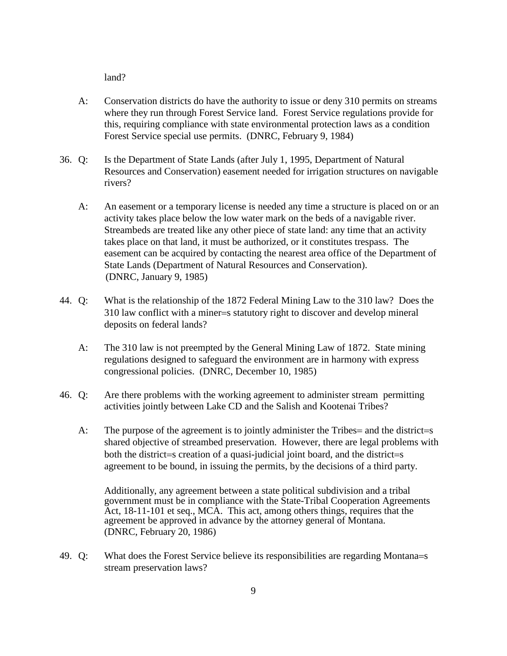land?

- A: Conservation districts do have the authority to issue or deny 310 permits on streams where they run through Forest Service land. Forest Service regulations provide for this, requiring compliance with state environmental protection laws as a condition Forest Service special use permits. (DNRC, February 9, 1984)
- 36. Q: Is the Department of State Lands (after July 1, 1995, Department of Natural Resources and Conservation) easement needed for irrigation structures on navigable rivers?
	- A: An easement or a temporary license is needed any time a structure is placed on or an activity takes place below the low water mark on the beds of a navigable river. Streambeds are treated like any other piece of state land: any time that an activity takes place on that land, it must be authorized, or it constitutes trespass. The easement can be acquired by contacting the nearest area office of the Department of State Lands (Department of Natural Resources and Conservation). (DNRC, January 9, 1985)
- 44. Q: What is the relationship of the 1872 Federal Mining Law to the 310 law? Does the 310 law conflict with a miner=s statutory right to discover and develop mineral deposits on federal lands?
	- A: The 310 law is not preempted by the General Mining Law of 1872. State mining regulations designed to safeguard the environment are in harmony with express congressional policies. (DNRC, December 10, 1985)
- 46. Q: Are there problems with the working agreement to administer stream permitting activities jointly between Lake CD and the Salish and Kootenai Tribes?
	- A: The purpose of the agreement is to jointly administer the Tribes = and the district = s shared objective of streambed preservation. However, there are legal problems with both the district=s creation of a quasi-judicial joint board, and the district=s agreement to be bound, in issuing the permits, by the decisions of a third party.

Additionally, any agreement between a state political subdivision and a tribal government must be in compliance with the State-Tribal Cooperation Agreements Act, 18-11-101 et seq., MCA. This act, among others things, requires that the agreement be approved in advance by the attorney general of Montana. (DNRC, February 20, 1986)

49. Q: What does the Forest Service believe its responsibilities are regarding Montana=s stream preservation laws?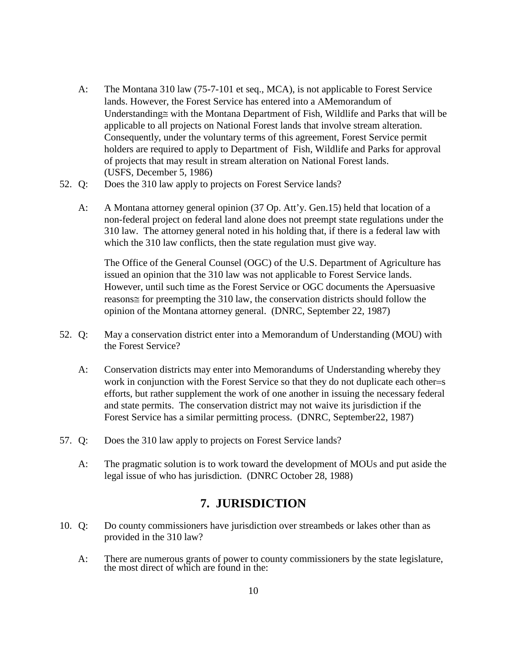- A: The Montana 310 law (75-7-101 et seq., MCA), is not applicable to Forest Service lands. However, the Forest Service has entered into a ΑMemorandum of Understanding≅ with the Montana Department of Fish, Wildlife and Parks that will be applicable to all projects on National Forest lands that involve stream alteration. Consequently, under the voluntary terms of this agreement, Forest Service permit holders are required to apply to Department of Fish, Wildlife and Parks for approval of projects that may result in stream alteration on National Forest lands. (USFS, December 5, 1986)
- 52. Q: Does the 310 law apply to projects on Forest Service lands?
	- A: A Montana attorney general opinion (37 Op. Att'y. Gen.15) held that location of a non-federal project on federal land alone does not preempt state regulations under the 310 law. The attorney general noted in his holding that, if there is a federal law with which the 310 law conflicts, then the state regulation must give way.

The Office of the General Counsel (OGC) of the U.S. Department of Agriculture has issued an opinion that the 310 law was not applicable to Forest Service lands. However, until such time as the Forest Service or OGC documents the Αpersuasive reasons≅ for preempting the 310 law, the conservation districts should follow the opinion of the Montana attorney general. (DNRC, September 22, 1987)

- 52. Q: May a conservation district enter into a Memorandum of Understanding (MOU) with the Forest Service?
	- A: Conservation districts may enter into Memorandums of Understanding whereby they work in conjunction with the Forest Service so that they do not duplicate each other=s efforts, but rather supplement the work of one another in issuing the necessary federal and state permits. The conservation district may not waive its jurisdiction if the Forest Service has a similar permitting process. (DNRC, September22, 1987)
- 57. Q: Does the 310 law apply to projects on Forest Service lands?
	- A: The pragmatic solution is to work toward the development of MOUs and put aside the legal issue of who has jurisdiction. (DNRC October 28, 1988)

### **7. JURISDICTION**

- 10. Q: Do county commissioners have jurisdiction over streambeds or lakes other than as provided in the 310 law?
	- A: There are numerous grants of power to county commissioners by the state legislature, the most direct of which are found in the: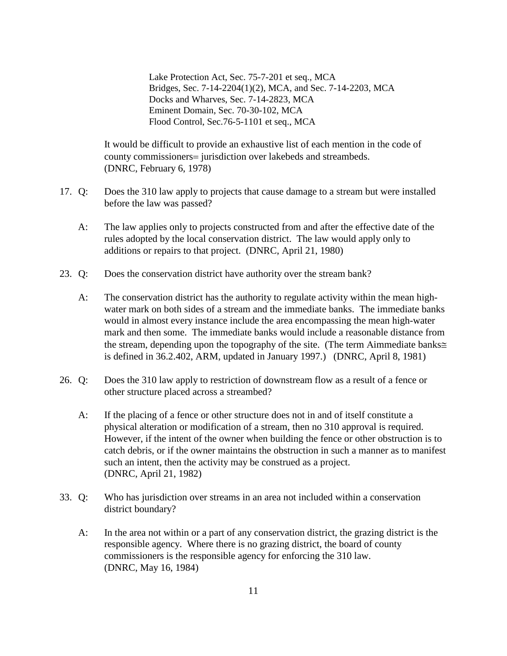Lake Protection Act, Sec. 75-7-201 et seq., MCA Bridges, Sec. 7-14-2204(1)(2), MCA, and Sec. 7-14-2203, MCA Docks and Wharves, Sec. 7-14-2823, MCA Eminent Domain, Sec. 70-30-102, MCA Flood Control, Sec.76-5-1101 et seq., MCA

It would be difficult to provide an exhaustive list of each mention in the code of county commissioners= jurisdiction over lakebeds and streambeds. (DNRC, February 6, 1978)

- 17. Q: Does the 310 law apply to projects that cause damage to a stream but were installed before the law was passed?
	- A: The law applies only to projects constructed from and after the effective date of the rules adopted by the local conservation district. The law would apply only to additions or repairs to that project. (DNRC, April 21, 1980)
- 23. Q: Does the conservation district have authority over the stream bank?
	- A: The conservation district has the authority to regulate activity within the mean highwater mark on both sides of a stream and the immediate banks. The immediate banks would in almost every instance include the area encompassing the mean high-water mark and then some. The immediate banks would include a reasonable distance from the stream, depending upon the topography of the site. (The term Αimmediate banks≅ is defined in 36.2.402, ARM, updated in January 1997.) (DNRC, April 8, 1981)
- 26. Q: Does the 310 law apply to restriction of downstream flow as a result of a fence or other structure placed across a streambed?
	- A: If the placing of a fence or other structure does not in and of itself constitute a physical alteration or modification of a stream, then no 310 approval is required. However, if the intent of the owner when building the fence or other obstruction is to catch debris, or if the owner maintains the obstruction in such a manner as to manifest such an intent, then the activity may be construed as a project. (DNRC, April 21, 1982)
- 33. Q: Who has jurisdiction over streams in an area not included within a conservation district boundary?
	- A: In the area not within or a part of any conservation district, the grazing district is the responsible agency. Where there is no grazing district, the board of county commissioners is the responsible agency for enforcing the 310 law. (DNRC, May 16, 1984)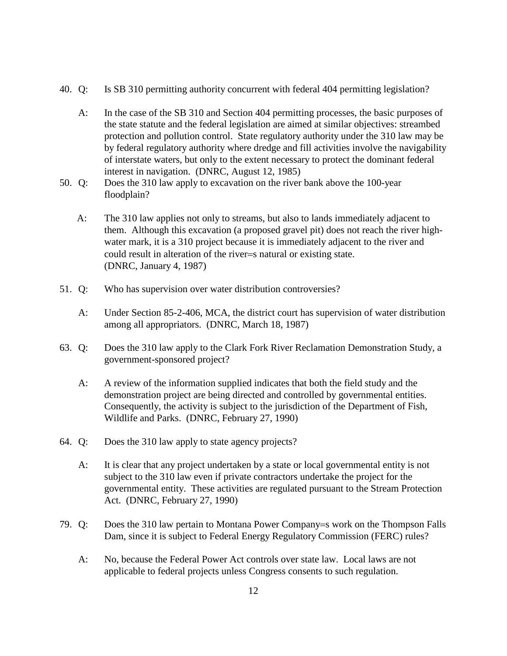- 40. Q: Is SB 310 permitting authority concurrent with federal 404 permitting legislation?
	- A: In the case of the SB 310 and Section 404 permitting processes, the basic purposes of the state statute and the federal legislation are aimed at similar objectives: streambed protection and pollution control. State regulatory authority under the 310 law may be by federal regulatory authority where dredge and fill activities involve the navigability of interstate waters, but only to the extent necessary to protect the dominant federal interest in navigation. (DNRC, August 12, 1985)
- 50. Q: Does the 310 law apply to excavation on the river bank above the 100-year floodplain?
	- A: The 310 law applies not only to streams, but also to lands immediately adjacent to them. Although this excavation (a proposed gravel pit) does not reach the river highwater mark, it is a 310 project because it is immediately adjacent to the river and could result in alteration of the river=s natural or existing state. (DNRC, January 4, 1987)
- 51. Q: Who has supervision over water distribution controversies?
	- A: Under Section 85-2-406, MCA, the district court has supervision of water distribution among all appropriators. (DNRC, March 18, 1987)
- 63. Q: Does the 310 law apply to the Clark Fork River Reclamation Demonstration Study, a government-sponsored project?
	- A: A review of the information supplied indicates that both the field study and the demonstration project are being directed and controlled by governmental entities. Consequently, the activity is subject to the jurisdiction of the Department of Fish, Wildlife and Parks. (DNRC, February 27, 1990)
- 64. Q: Does the 310 law apply to state agency projects?
	- A: It is clear that any project undertaken by a state or local governmental entity is not subject to the 310 law even if private contractors undertake the project for the governmental entity. These activities are regulated pursuant to the Stream Protection Act. (DNRC, February 27, 1990)
- 79. Q: Does the 310 law pertain to Montana Power Company=s work on the Thompson Falls Dam, since it is subject to Federal Energy Regulatory Commission (FERC) rules?
	- A: No, because the Federal Power Act controls over state law. Local laws are not applicable to federal projects unless Congress consents to such regulation.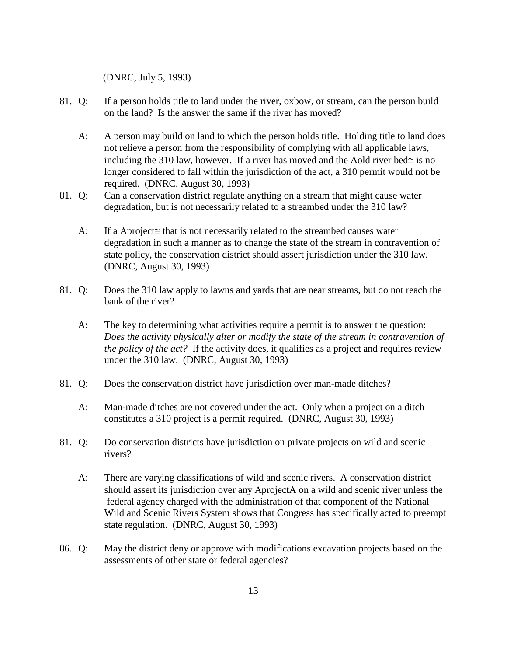(DNRC, July 5, 1993)

- 81. Q: If a person holds title to land under the river, oxbow, or stream, can the person build on the land? Is the answer the same if the river has moved?
	- A: A person may build on land to which the person holds title. Holding title to land does not relieve a person from the responsibility of complying with all applicable laws, including the 310 law, however. If a river has moved and the Aold river bed≅ is no longer considered to fall within the jurisdiction of the act, a 310 permit would not be required. (DNRC, August 30, 1993)
- 81. Q: Can a conservation district regulate anything on a stream that might cause water degradation, but is not necessarily related to a streambed under the 310 law?
	- A: If a Aproject≅ that is not necessarily related to the streambed causes water degradation in such a manner as to change the state of the stream in contravention of state policy, the conservation district should assert jurisdiction under the 310 law. (DNRC, August 30, 1993)
- 81. Q: Does the 310 law apply to lawns and yards that are near streams, but do not reach the bank of the river?
	- A: The key to determining what activities require a permit is to answer the question: *Does the activity physically alter or modify the state of the stream in contravention of the policy of the act?* If the activity does, it qualifies as a project and requires review under the 310 law. (DNRC, August 30, 1993)
- 81. Q: Does the conservation district have jurisdiction over man-made ditches?
	- A: Man-made ditches are not covered under the act. Only when a project on a ditch constitutes a 310 project is a permit required. (DNRC, August 30, 1993)
- 81. Q: Do conservation districts have jurisdiction on private projects on wild and scenic rivers?
	- A: There are varying classifications of wild and scenic rivers. A conservation district should assert its jurisdiction over any ΑprojectΑ on a wild and scenic river unless the federal agency charged with the administration of that component of the National Wild and Scenic Rivers System shows that Congress has specifically acted to preempt state regulation. (DNRC, August 30, 1993)
- 86. Q: May the district deny or approve with modifications excavation projects based on the assessments of other state or federal agencies?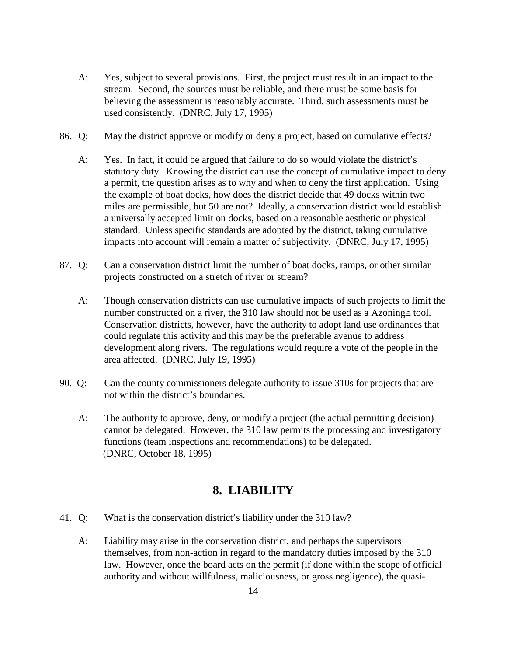- A: Yes, subject to several provisions. First, the project must result in an impact to the stream. Second, the sources must be reliable, and there must be some basis for believing the assessment is reasonably accurate. Third, such assessments must be used consistently. (DNRC, July 17, 1995)
- 86. Q: May the district approve or modify or deny a project, based on cumulative effects?
	- A: Yes. In fact, it could be argued that failure to do so would violate the district's statutory duty. Knowing the district can use the concept of cumulative impact to deny a permit, the question arises as to why and when to deny the first application. Using the example of boat docks, how does the district decide that 49 docks within two miles are permissible, but 50 are not? Ideally, a conservation district would establish a universally accepted limit on docks, based on a reasonable aesthetic or physical standard. Unless specific standards are adopted by the district, taking cumulative impacts into account will remain a matter of subjectivity. (DNRC, July 17, 1995)
- 87. Q: Can a conservation district limit the number of boat docks, ramps, or other similar projects constructed on a stretch of river or stream?
	- A: Though conservation districts can use cumulative impacts of such projects to limit the number constructed on a river, the 310 law should not be used as a Azoning≅ tool. Conservation districts, however, have the authority to adopt land use ordinances that could regulate this activity and this may be the preferable avenue to address development along rivers. The regulations would require a vote of the people in the area affected. (DNRC, July 19, 1995)
- 90. Q: Can the county commissioners delegate authority to issue 310s for projects that are not within the district's boundaries.
	- A: The authority to approve, deny, or modify a project (the actual permitting decision) cannot be delegated. However, the 310 law permits the processing and investigatory functions (team inspections and recommendations) to be delegated. (DNRC, October 18, 1995)

### **8. LIABILITY**

- 41. Q: What is the conservation district's liability under the 310 law?
	- A: Liability may arise in the conservation district, and perhaps the supervisors themselves, from non-action in regard to the mandatory duties imposed by the 310 law. However, once the board acts on the permit (if done within the scope of official authority and without willfulness, maliciousness, or gross negligence), the quasi-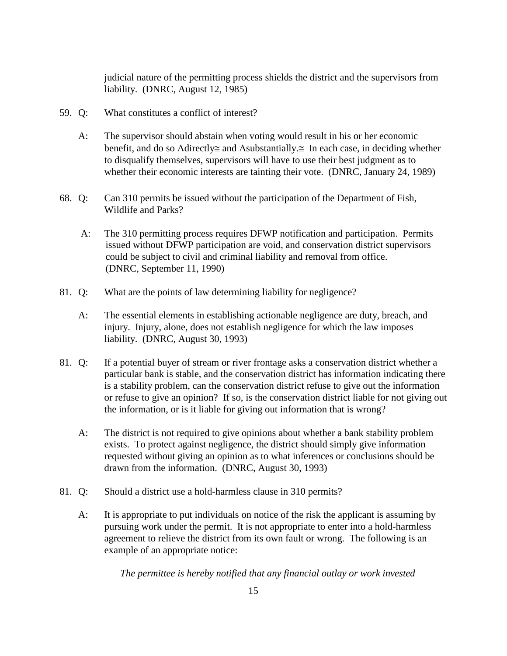judicial nature of the permitting process shields the district and the supervisors from liability. (DNRC, August 12, 1985)

- 59. Q: What constitutes a conflict of interest?
	- A: The supervisor should abstain when voting would result in his or her economic benefit, and do so Adirectly≅ and Asubstantially.≅ In each case, in deciding whether to disqualify themselves, supervisors will have to use their best judgment as to whether their economic interests are tainting their vote. (DNRC, January 24, 1989)
- 68. Q: Can 310 permits be issued without the participation of the Department of Fish, Wildlife and Parks?
	- A: The 310 permitting process requires DFWP notification and participation. Permits issued without DFWP participation are void, and conservation district supervisors could be subject to civil and criminal liability and removal from office. (DNRC, September 11, 1990)
- 81. Q: What are the points of law determining liability for negligence?
	- A: The essential elements in establishing actionable negligence are duty, breach, and injury. Injury, alone, does not establish negligence for which the law imposes liability. (DNRC, August 30, 1993)
- 81. Q: If a potential buyer of stream or river frontage asks a conservation district whether a particular bank is stable, and the conservation district has information indicating there is a stability problem, can the conservation district refuse to give out the information or refuse to give an opinion? If so, is the conservation district liable for not giving out the information, or is it liable for giving out information that is wrong?
	- A: The district is not required to give opinions about whether a bank stability problem exists. To protect against negligence, the district should simply give information requested without giving an opinion as to what inferences or conclusions should be drawn from the information. (DNRC, August 30, 1993)
- 81. Q: Should a district use a hold-harmless clause in 310 permits?
	- A: It is appropriate to put individuals on notice of the risk the applicant is assuming by pursuing work under the permit. It is not appropriate to enter into a hold-harmless agreement to relieve the district from its own fault or wrong. The following is an example of an appropriate notice:

 *The permittee is hereby notified that any financial outlay or work invested*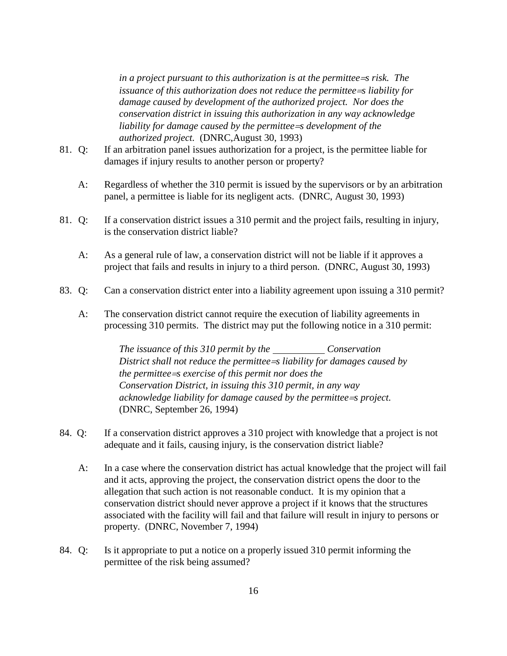*in a project pursuant to this authorization is at the permittee* = *srisk. The issuance of this authorization does not reduce the permittee=s liability for damage caused by development of the authorized project. Nor does the conservation district in issuing this authorization in any way acknowledge liability for damage caused by the permittee* = *sdevelopment of the authorized project.* (DNRC,August 30, 1993)

- 81. Q: If an arbitration panel issues authorization for a project, is the permittee liable for damages if injury results to another person or property?
	- A: Regardless of whether the 310 permit is issued by the supervisors or by an arbitration panel, a permittee is liable for its negligent acts. (DNRC, August 30, 1993)
- 81. Q: If a conservation district issues a 310 permit and the project fails, resulting in injury, is the conservation district liable?
	- A: As a general rule of law, a conservation district will not be liable if it approves a project that fails and results in injury to a third person. (DNRC, August 30, 1993)
- 83. Q: Can a conservation district enter into a liability agreement upon issuing a 310 permit?
	- A: The conservation district cannot require the execution of liability agreements in processing 310 permits. The district may put the following notice in a 310 permit:

*The issuance of this 310 permit by the Conservation District shall not reduce the permittee*  $\equiv$  *liability for damages caused by the permittee*=*s exercise of this permit nor does the Conservation District, in issuing this 310 permit, in any way acknowledge liability for damage caused by the permittee=s project.* (DNRC, September 26, 1994)

- 84. Q: If a conservation district approves a 310 project with knowledge that a project is not adequate and it fails, causing injury, is the conservation district liable?
	- A: In a case where the conservation district has actual knowledge that the project will fail and it acts, approving the project, the conservation district opens the door to the allegation that such action is not reasonable conduct. It is my opinion that a conservation district should never approve a project if it knows that the structures associated with the facility will fail and that failure will result in injury to persons or property. (DNRC, November 7, 1994)
- 84. Q: Is it appropriate to put a notice on a properly issued 310 permit informing the permittee of the risk being assumed?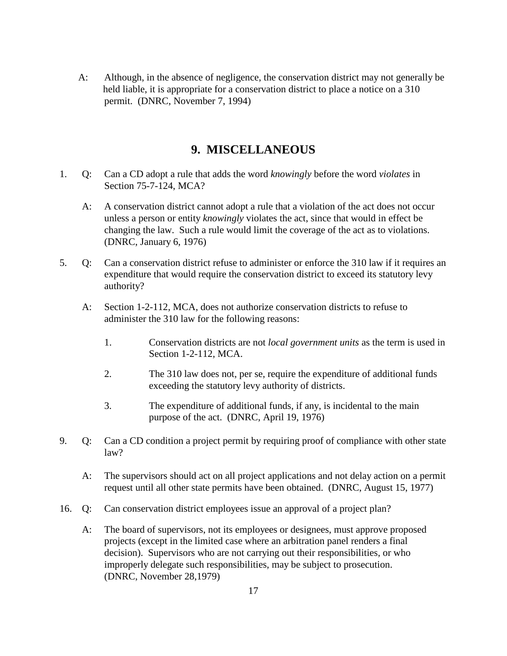A: Although, in the absence of negligence, the conservation district may not generally be held liable, it is appropriate for a conservation district to place a notice on a 310 permit. (DNRC, November 7, 1994)

### **9. MISCELLANEOUS**

- 1. Q: Can a CD adopt a rule that adds the word *knowingly* before the word *violates* in Section 75-7-124, MCA?
	- A: A conservation district cannot adopt a rule that a violation of the act does not occur unless a person or entity *knowingly* violates the act, since that would in effect be changing the law. Such a rule would limit the coverage of the act as to violations. (DNRC, January 6, 1976)
- 5. Q: Can a conservation district refuse to administer or enforce the 310 law if it requires an expenditure that would require the conservation district to exceed its statutory levy authority?
	- A: Section 1-2-112, MCA, does not authorize conservation districts to refuse to administer the 310 law for the following reasons:
		- 1. Conservation districts are not *local government units* as the term is used in Section 1-2-112, MCA.
		- 2. The 310 law does not, per se, require the expenditure of additional funds exceeding the statutory levy authority of districts.
		- 3. The expenditure of additional funds, if any, is incidental to the main purpose of the act. (DNRC, April 19, 1976)
- 9. Q: Can a CD condition a project permit by requiring proof of compliance with other state law?
	- A: The supervisors should act on all project applications and not delay action on a permit request until all other state permits have been obtained. (DNRC, August 15, 1977)
- 16. Q: Can conservation district employees issue an approval of a project plan?
	- A: The board of supervisors, not its employees or designees, must approve proposed projects (except in the limited case where an arbitration panel renders a final decision). Supervisors who are not carrying out their responsibilities, or who improperly delegate such responsibilities, may be subject to prosecution. (DNRC, November 28,1979)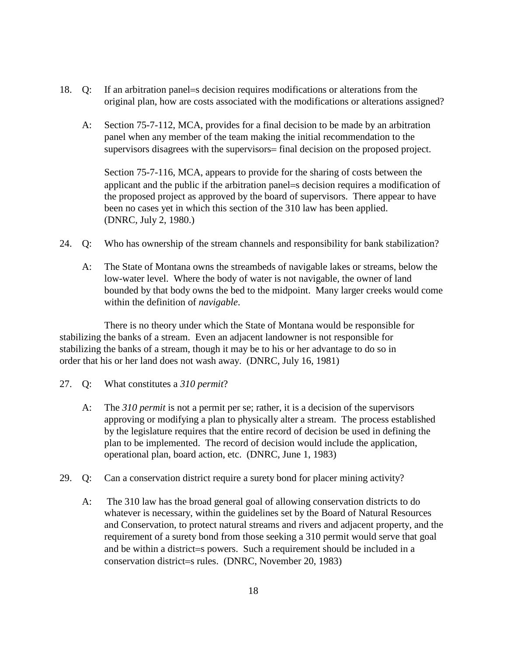- 18. Q: If an arbitration panel=s decision requires modifications or alterations from the original plan, how are costs associated with the modifications or alterations assigned?
	- A: Section 75-7-112, MCA, provides for a final decision to be made by an arbitration panel when any member of the team making the initial recommendation to the supervisors disagrees with the supervisors= final decision on the proposed project.

Section 75-7-116, MCA, appears to provide for the sharing of costs between the applicant and the public if the arbitration panel=s decision requires a modification of the proposed project as approved by the board of supervisors. There appear to have been no cases yet in which this section of the 310 law has been applied. (DNRC, July 2, 1980.)

- 24. Q: Who has ownership of the stream channels and responsibility for bank stabilization?
	- A: The State of Montana owns the streambeds of navigable lakes or streams, below the low-water level. Where the body of water is not navigable, the owner of land bounded by that body owns the bed to the midpoint. Many larger creeks would come within the definition of *navigable*.

There is no theory under which the State of Montana would be responsible for stabilizing the banks of a stream. Even an adjacent landowner is not responsible for stabilizing the banks of a stream, though it may be to his or her advantage to do so in order that his or her land does not wash away. (DNRC, July 16, 1981)

- 27. Q: What constitutes a *310 permit*?
	- A: The *310 permit* is not a permit per se; rather, it is a decision of the supervisors approving or modifying a plan to physically alter a stream. The process established by the legislature requires that the entire record of decision be used in defining the plan to be implemented. The record of decision would include the application, operational plan, board action, etc. (DNRC, June 1, 1983)
- 29. Q: Can a conservation district require a surety bond for placer mining activity?
	- A: The 310 law has the broad general goal of allowing conservation districts to do whatever is necessary, within the guidelines set by the Board of Natural Resources and Conservation, to protect natural streams and rivers and adjacent property, and the requirement of a surety bond from those seeking a 310 permit would serve that goal and be within a district=s powers. Such a requirement should be included in a conservation district=s rules. (DNRC, November 20, 1983)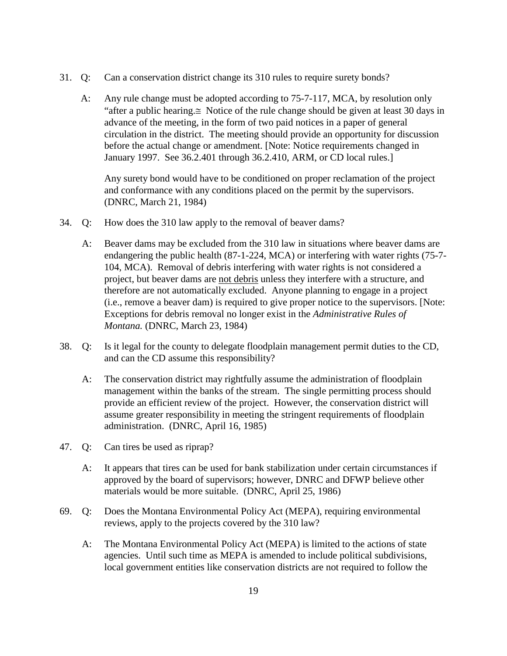- 31. Q: Can a conservation district change its 310 rules to require surety bonds?
	- A: Any rule change must be adopted according to 75-7-117, MCA, by resolution only "after a public hearing.≅ Notice of the rule change should be given at least 30 days in advance of the meeting, in the form of two paid notices in a paper of general circulation in the district. The meeting should provide an opportunity for discussion before the actual change or amendment. [Note: Notice requirements changed in January 1997. See 36.2.401 through 36.2.410, ARM, or CD local rules.]

Any surety bond would have to be conditioned on proper reclamation of the project and conformance with any conditions placed on the permit by the supervisors. (DNRC, March 21, 1984)

- 34. Q: How does the 310 law apply to the removal of beaver dams?
	- A: Beaver dams may be excluded from the 310 law in situations where beaver dams are endangering the public health (87-1-224, MCA) or interfering with water rights (75-7- 104, MCA). Removal of debris interfering with water rights is not considered a project, but beaver dams are not debris unless they interfere with a structure, and therefore are not automatically excluded. Anyone planning to engage in a project (i.e., remove a beaver dam) is required to give proper notice to the supervisors. [Note: Exceptions for debris removal no longer exist in the *Administrative Rules of Montana.* (DNRC, March 23, 1984)
- 38. Q: Is it legal for the county to delegate floodplain management permit duties to the CD, and can the CD assume this responsibility?
	- A: The conservation district may rightfully assume the administration of floodplain management within the banks of the stream. The single permitting process should provide an efficient review of the project. However, the conservation district will assume greater responsibility in meeting the stringent requirements of floodplain administration. (DNRC, April 16, 1985)
- 47. Q: Can tires be used as riprap?
	- A: It appears that tires can be used for bank stabilization under certain circumstances if approved by the board of supervisors; however, DNRC and DFWP believe other materials would be more suitable. (DNRC, April 25, 1986)
- 69. Q: Does the Montana Environmental Policy Act (MEPA), requiring environmental reviews, apply to the projects covered by the 310 law?
	- A: The Montana Environmental Policy Act (MEPA) is limited to the actions of state agencies. Until such time as MEPA is amended to include political subdivisions, local government entities like conservation districts are not required to follow the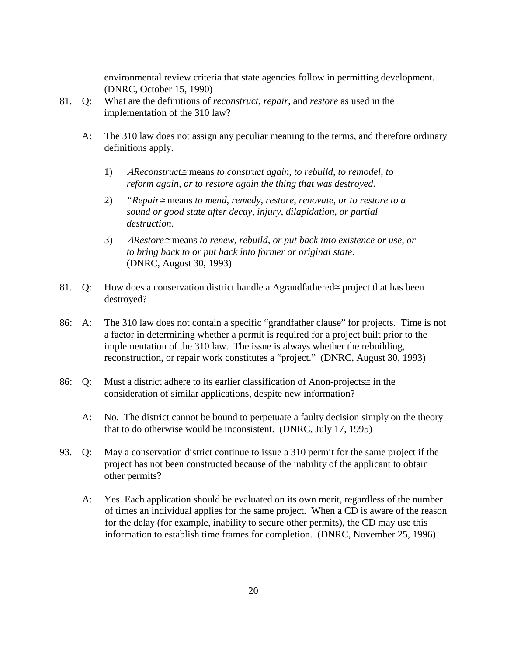environmental review criteria that state agencies follow in permitting development. (DNRC, October 15, 1990)

- 81. Q: What are the definitions of *reconstruct, repair*, and *restore* as used in the implementation of the 310 law?
	- A: The 310 law does not assign any peculiar meaning to the terms, and therefore ordinary definitions apply.
		- 1) <sup>Α</sup>*Reconstruct*<sup>≅</sup> means *to construct again*, *to rebuild*, *to remodel*, *to reform again, or to restore again the thing that was destroyed*.
		- 2) *"Repair*<sup>≅</sup> means *to mend*, *remedy*, *restore*, *renovate*, *or to restore to a sound or good state after decay, injury, dilapidation, or partial destruction*.
		- 3) <sup>Α</sup>*Restore*<sup>≅</sup> means *to renew, rebuild, or put back into existence or use, or to bring back to or put back into former or original state*. (DNRC, August 30, 1993)
- 81. Q: How does a conservation district handle a Αgrandfathered≅ project that has been destroyed?
- 86: A: The 310 law does not contain a specific "grandfather clause" for projects. Time is not a factor in determining whether a permit is required for a project built prior to the implementation of the 310 law. The issue is always whether the rebuilding, reconstruction, or repair work constitutes a "project." (DNRC, August 30, 1993)
- 86: Q: Must a district adhere to its earlier classification of Anon-projects≅ in the consideration of similar applications, despite new information?
	- A: No. The district cannot be bound to perpetuate a faulty decision simply on the theory that to do otherwise would be inconsistent. (DNRC, July 17, 1995)
- 93. Q: May a conservation district continue to issue a 310 permit for the same project if the project has not been constructed because of the inability of the applicant to obtain other permits?
	- A: Yes. Each application should be evaluated on its own merit, regardless of the number of times an individual applies for the same project. When a CD is aware of the reason for the delay (for example, inability to secure other permits), the CD may use this information to establish time frames for completion. (DNRC, November 25, 1996)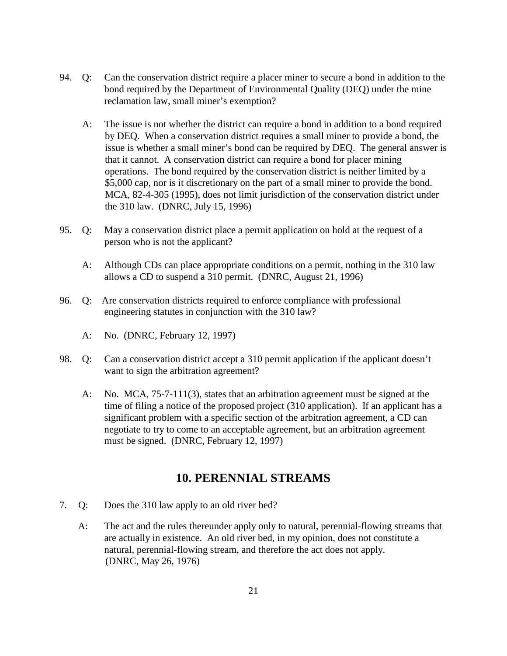- 94. Q: Can the conservation district require a placer miner to secure a bond in addition to the bond required by the Department of Environmental Quality (DEQ) under the mine reclamation law, small miner's exemption?
	- A: The issue is not whether the district can require a bond in addition to a bond required by DEQ. When a conservation district requires a small miner to provide a bond, the issue is whether a small miner's bond can be required by DEQ. The general answer is that it cannot. A conservation district can require a bond for placer mining operations. The bond required by the conservation district is neither limited by a \$5,000 cap, nor is it discretionary on the part of a small miner to provide the bond. MCA, 82-4-305 (1995), does not limit jurisdiction of the conservation district under the 310 law. (DNRC, July 15, 1996)
- 95. Q: May a conservation district place a permit application on hold at the request of a person who is not the applicant?
	- A: Although CDs can place appropriate conditions on a permit, nothing in the 310 law allows a CD to suspend a 310 permit. (DNRC, August 21, 1996)
- 96. Q: Are conservation districts required to enforce compliance with professional engineering statutes in conjunction with the 310 law?
	- A: No. (DNRC, February 12, 1997)
- 98. Q: Can a conservation district accept a 310 permit application if the applicant doesn't want to sign the arbitration agreement?
	- A: No. MCA, 75-7-111(3), states that an arbitration agreement must be signed at the time of filing a notice of the proposed project (310 application). If an applicant has a significant problem with a specific section of the arbitration agreement, a CD can negotiate to try to come to an acceptable agreement, but an arbitration agreement must be signed. (DNRC, February 12, 1997)

### **10. PERENNIAL STREAMS**

- 7. Q: Does the 310 law apply to an old river bed?
	- A: The act and the rules thereunder apply only to natural, perennial-flowing streams that are actually in existence. An old river bed, in my opinion, does not constitute a natural, perennial-flowing stream, and therefore the act does not apply. (DNRC, May 26, 1976)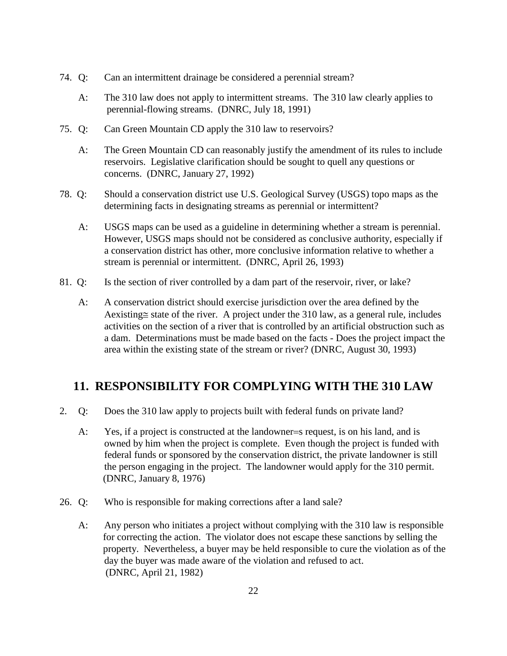- 74. Q: Can an intermittent drainage be considered a perennial stream?
	- A: The 310 law does not apply to intermittent streams. The 310 law clearly applies to perennial-flowing streams. (DNRC, July 18, 1991)
- 75. Q: Can Green Mountain CD apply the 310 law to reservoirs?
	- A: The Green Mountain CD can reasonably justify the amendment of its rules to include reservoirs. Legislative clarification should be sought to quell any questions or concerns. (DNRC, January 27, 1992)
- 78. Q: Should a conservation district use U.S. Geological Survey (USGS) topo maps as the determining facts in designating streams as perennial or intermittent?
	- A: USGS maps can be used as a guideline in determining whether a stream is perennial. However, USGS maps should not be considered as conclusive authority, especially if a conservation district has other, more conclusive information relative to whether a stream is perennial or intermittent. (DNRC, April 26, 1993)
- 81. Q: Is the section of river controlled by a dam part of the reservoir, river, or lake?
	- A: A conservation district should exercise jurisdiction over the area defined by the Αexisting≅ state of the river. A project under the 310 law, as a general rule, includes activities on the section of a river that is controlled by an artificial obstruction such as a dam. Determinations must be made based on the facts - Does the project impact the area within the existing state of the stream or river? (DNRC, August 30, 1993)

# **11. RESPONSIBILITY FOR COMPLYING WITH THE 310 LAW**

- 2. Q: Does the 310 law apply to projects built with federal funds on private land?
	- A: Yes, if a project is constructed at the landowner=s request, is on his land, and is owned by him when the project is complete. Even though the project is funded with federal funds or sponsored by the conservation district, the private landowner is still the person engaging in the project. The landowner would apply for the 310 permit. (DNRC, January 8, 1976)
- 26. Q: Who is responsible for making corrections after a land sale?
	- A: Any person who initiates a project without complying with the 310 law is responsible for correcting the action. The violator does not escape these sanctions by selling the property. Nevertheless, a buyer may be held responsible to cure the violation as of the day the buyer was made aware of the violation and refused to act. (DNRC, April 21, 1982)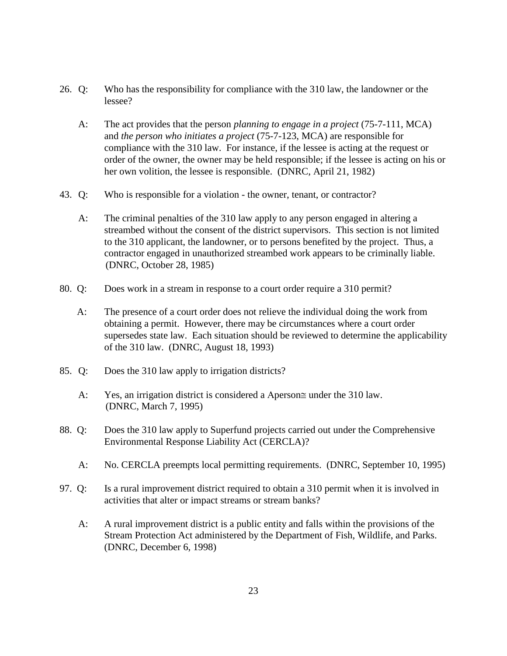- 26. Q: Who has the responsibility for compliance with the 310 law, the landowner or the lessee?
	- A: The act provides that the person *planning to engage in a project* (75-7-111, MCA) and *the person who initiates a project* (75-7-123, MCA) are responsible for compliance with the 310 law. For instance, if the lessee is acting at the request or order of the owner, the owner may be held responsible; if the lessee is acting on his or her own volition, the lessee is responsible. (DNRC, April 21, 1982)
- 43. Q: Who is responsible for a violation the owner, tenant, or contractor?
	- A: The criminal penalties of the 310 law apply to any person engaged in altering a streambed without the consent of the district supervisors. This section is not limited to the 310 applicant, the landowner, or to persons benefited by the project. Thus, a contractor engaged in unauthorized streambed work appears to be criminally liable. (DNRC, October 28, 1985)
- 80. Q: Does work in a stream in response to a court order require a 310 permit?
	- A: The presence of a court order does not relieve the individual doing the work from obtaining a permit. However, there may be circumstances where a court order supersedes state law. Each situation should be reviewed to determine the applicability of the 310 law. (DNRC, August 18, 1993)
- 85. Q: Does the 310 law apply to irrigation districts?
	- A: Yes, an irrigation district is considered a Aperson≅ under the 310 law. (DNRC, March 7, 1995)
- 88. Q: Does the 310 law apply to Superfund projects carried out under the Comprehensive Environmental Response Liability Act (CERCLA)?
	- A: No. CERCLA preempts local permitting requirements. (DNRC, September 10, 1995)
- 97. Q: Is a rural improvement district required to obtain a 310 permit when it is involved in activities that alter or impact streams or stream banks?
	- A: A rural improvement district is a public entity and falls within the provisions of the Stream Protection Act administered by the Department of Fish, Wildlife, and Parks. (DNRC, December 6, 1998)